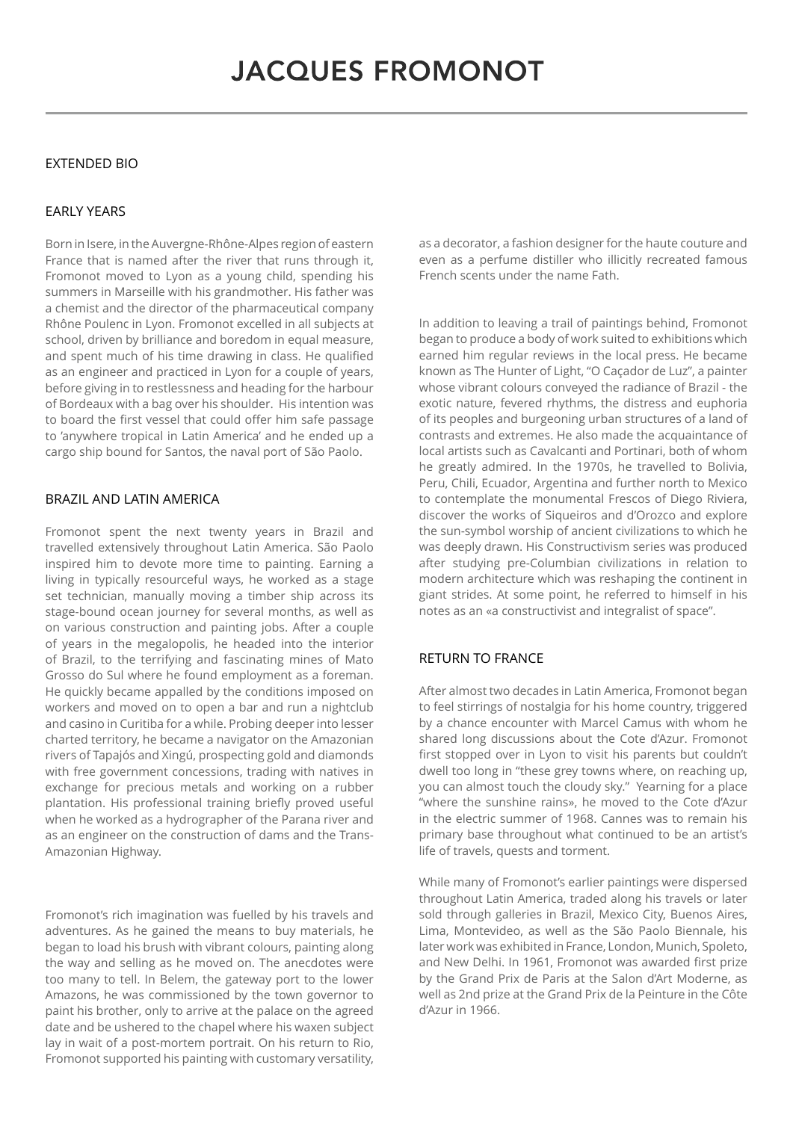## EXTENDED BIO

## EARLY YEARS

Born in Isere, in the Auvergne-Rhône-Alpes region of eastern France that is named after the river that runs through it, Fromonot moved to Lyon as a young child, spending his summers in Marseille with his grandmother. His father was a chemist and the director of the pharmaceutical company Rhône Poulenc in Lyon. Fromonot excelled in all subjects at school, driven by brilliance and boredom in equal measure, and spent much of his time drawing in class. He qualified as an engineer and practiced in Lyon for a couple of years, before giving in to restlessness and heading for the harbour of Bordeaux with a bag over his shoulder. His intention was to board the first vessel that could offer him safe passage to 'anywhere tropical in Latin America' and he ended up a cargo ship bound for Santos, the naval port of São Paolo.

## BRAZIL AND LATIN AMERICA

Fromonot spent the next twenty years in Brazil and travelled extensively throughout Latin America. São Paolo inspired him to devote more time to painting. Earning a living in typically resourceful ways, he worked as a stage set technician, manually moving a timber ship across its stage-bound ocean journey for several months, as well as on various construction and painting jobs. After a couple of years in the megalopolis, he headed into the interior of Brazil, to the terrifying and fascinating mines of Mato Grosso do Sul where he found employment as a foreman. He quickly became appalled by the conditions imposed on workers and moved on to open a bar and run a nightclub and casino in Curitiba for a while. Probing deeper into lesser charted territory, he became a navigator on the Amazonian rivers of Tapajós and Xingú, prospecting gold and diamonds with free government concessions, trading with natives in exchange for precious metals and working on a rubber plantation. His professional training briefly proved useful when he worked as a hydrographer of the Parana river and as an engineer on the construction of dams and the Trans-Amazonian Highway.

Fromonot's rich imagination was fuelled by his travels and adventures. As he gained the means to buy materials, he began to load his brush with vibrant colours, painting along the way and selling as he moved on. The anecdotes were too many to tell. In Belem, the gateway port to the lower Amazons, he was commissioned by the town governor to paint his brother, only to arrive at the palace on the agreed date and be ushered to the chapel where his waxen subject lay in wait of a post-mortem portrait. On his return to Rio, Fromonot supported his painting with customary versatility, as a decorator, a fashion designer for the haute couture and even as a perfume distiller who illicitly recreated famous French scents under the name Fath.

In addition to leaving a trail of paintings behind, Fromonot began to produce a body of work suited to exhibitions which earned him regular reviews in the local press. He became known as The Hunter of Light, "O Caçador de Luz", a painter whose vibrant colours conveyed the radiance of Brazil - the exotic nature, fevered rhythms, the distress and euphoria of its peoples and burgeoning urban structures of a land of contrasts and extremes. He also made the acquaintance of local artists such as Cavalcanti and Portinari, both of whom he greatly admired. In the 1970s, he travelled to Bolivia, Peru, Chili, Ecuador, Argentina and further north to Mexico to contemplate the monumental Frescos of Diego Riviera, discover the works of Siqueiros and d'Orozco and explore the sun-symbol worship of ancient civilizations to which he was deeply drawn. His Constructivism series was produced after studying pre-Columbian civilizations in relation to modern architecture which was reshaping the continent in giant strides. At some point, he referred to himself in his notes as an «a constructivist and integralist of space".

# RETURN TO FRANCE

After almost two decades in Latin America, Fromonot began to feel stirrings of nostalgia for his home country, triggered by a chance encounter with Marcel Camus with whom he shared long discussions about the Cote d'Azur. Fromonot first stopped over in Lyon to visit his parents but couldn't dwell too long in "these grey towns where, on reaching up, you can almost touch the cloudy sky." Yearning for a place "where the sunshine rains», he moved to the Cote d'Azur in the electric summer of 1968. Cannes was to remain his primary base throughout what continued to be an artist's life of travels, quests and torment.

While many of Fromonot's earlier paintings were dispersed throughout Latin America, traded along his travels or later sold through galleries in Brazil, Mexico City, Buenos Aires, Lima, Montevideo, as well as the São Paolo Biennale, his later work was exhibited in France, London, Munich, Spoleto, and New Delhi. In 1961, Fromonot was awarded first prize by the Grand Prix de Paris at the Salon d'Art Moderne, as well as 2nd prize at the Grand Prix de la Peinture in the Côte d'Azur in 1966.